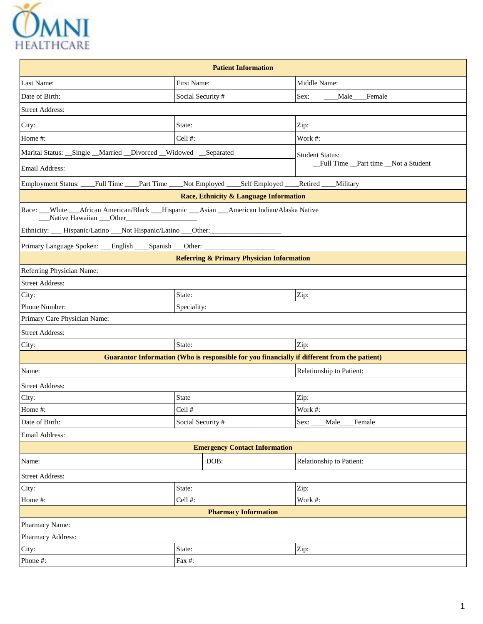

| <b>Patient Information</b>                                                                                             |                   |                                                                                              |                                      |  |  |  |  |  |  |
|------------------------------------------------------------------------------------------------------------------------|-------------------|----------------------------------------------------------------------------------------------|--------------------------------------|--|--|--|--|--|--|
| Last Name:                                                                                                             | First Name:       |                                                                                              | Middle Name:                         |  |  |  |  |  |  |
| Date of Birth:                                                                                                         | Social Security # |                                                                                              | Sex:<br>Male___Female                |  |  |  |  |  |  |
| <b>Street Address:</b>                                                                                                 |                   |                                                                                              |                                      |  |  |  |  |  |  |
| City:                                                                                                                  | State:            |                                                                                              | Zip:                                 |  |  |  |  |  |  |
| Home #:                                                                                                                | Cell #:           |                                                                                              | Work #:                              |  |  |  |  |  |  |
| Marital Status: __Single __Married __Divorced __Widowed __Separated                                                    |                   |                                                                                              | <b>Student Status:</b>               |  |  |  |  |  |  |
| Email Address:                                                                                                         |                   |                                                                                              | _Full Time _Part time _Not a Student |  |  |  |  |  |  |
| Employment Status: ___Full Time ___Part Time ____Not Employed ____Self Employed ___                                    |                   |                                                                                              | Retired Military                     |  |  |  |  |  |  |
|                                                                                                                        |                   | Race, Ethnicity & Language Information                                                       |                                      |  |  |  |  |  |  |
| Race: __White __African American/Black __Hispanic __Asian __American Indian/Alaska Native<br>Native Hawaiian ___Other_ |                   |                                                                                              |                                      |  |  |  |  |  |  |
| Ethnicity: ___ Hispanic/Latino ___ Not Hispanic/Latino ___ Other: ______________                                       |                   |                                                                                              |                                      |  |  |  |  |  |  |
| Primary Language Spoken: English Spanish Other: _________________________________                                      |                   |                                                                                              |                                      |  |  |  |  |  |  |
|                                                                                                                        |                   | <b>Referring &amp; Primary Physician Information</b>                                         |                                      |  |  |  |  |  |  |
| Referring Physician Name:                                                                                              |                   |                                                                                              |                                      |  |  |  |  |  |  |
| <b>Street Address:</b>                                                                                                 |                   |                                                                                              |                                      |  |  |  |  |  |  |
| City:                                                                                                                  | State:            |                                                                                              | Zip:                                 |  |  |  |  |  |  |
| Phone Number:                                                                                                          | Speciality:       |                                                                                              |                                      |  |  |  |  |  |  |
| Primary Care Physician Name:                                                                                           |                   |                                                                                              |                                      |  |  |  |  |  |  |
| <b>Street Address:</b>                                                                                                 |                   |                                                                                              |                                      |  |  |  |  |  |  |
| City:                                                                                                                  | State:            |                                                                                              | Zip:                                 |  |  |  |  |  |  |
|                                                                                                                        |                   | Guarantor Information (Who is responsible for you financially if different from the patient) |                                      |  |  |  |  |  |  |
| Name:                                                                                                                  |                   |                                                                                              | Relationship to Patient:             |  |  |  |  |  |  |
| <b>Street Address:</b>                                                                                                 |                   |                                                                                              |                                      |  |  |  |  |  |  |
| City:                                                                                                                  | State             |                                                                                              | Zip:                                 |  |  |  |  |  |  |
| Home #:                                                                                                                | Cell #            |                                                                                              | Work #:                              |  |  |  |  |  |  |
| Date of Birth:                                                                                                         | Social Security # |                                                                                              | Sex:<br>Male<br>Female               |  |  |  |  |  |  |
| Email Address:                                                                                                         |                   |                                                                                              |                                      |  |  |  |  |  |  |
|                                                                                                                        |                   | <b>Emergency Contact Information</b>                                                         |                                      |  |  |  |  |  |  |
| Name:                                                                                                                  |                   | DOB:                                                                                         | Relationship to Patient:             |  |  |  |  |  |  |
| <b>Street Address:</b>                                                                                                 |                   |                                                                                              |                                      |  |  |  |  |  |  |
| City:                                                                                                                  | State:            |                                                                                              | Zip:                                 |  |  |  |  |  |  |
| Home #:                                                                                                                | Cell #:           |                                                                                              | Work #:                              |  |  |  |  |  |  |
|                                                                                                                        |                   | <b>Pharmacy Information</b>                                                                  |                                      |  |  |  |  |  |  |
| Pharmacy Name:                                                                                                         |                   |                                                                                              |                                      |  |  |  |  |  |  |
| Pharmacy Address:                                                                                                      |                   |                                                                                              |                                      |  |  |  |  |  |  |
| City:                                                                                                                  | State:            |                                                                                              | Zip:                                 |  |  |  |  |  |  |
| Phone #:                                                                                                               | Fax #:            |                                                                                              |                                      |  |  |  |  |  |  |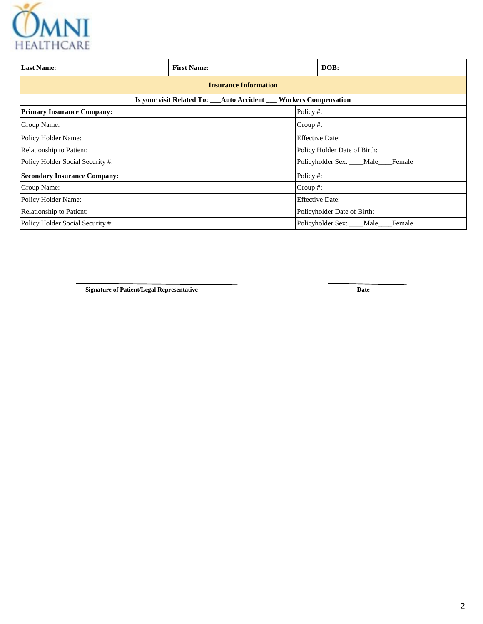

| <b>Last Name:</b>                                                 | <b>First Name:</b>                   |                        |          | DOB:                             |  |  |  |  |  |
|-------------------------------------------------------------------|--------------------------------------|------------------------|----------|----------------------------------|--|--|--|--|--|
| <b>Insurance Information</b>                                      |                                      |                        |          |                                  |  |  |  |  |  |
| Is your visit Related To: __Auto Accident __ Workers Compensation |                                      |                        |          |                                  |  |  |  |  |  |
| <b>Primary Insurance Company:</b>                                 |                                      |                        | Policy#: |                                  |  |  |  |  |  |
| Group Name:                                                       | Group $#$ :                          |                        |          |                                  |  |  |  |  |  |
| Policy Holder Name:                                               |                                      | <b>Effective Date:</b> |          |                                  |  |  |  |  |  |
| Relationship to Patient:<br>Policy Holder Date of Birth:          |                                      |                        |          |                                  |  |  |  |  |  |
| Policy Holder Social Security #:                                  | Policyholder Sex: ____Male____Female |                        |          |                                  |  |  |  |  |  |
| <b>Secondary Insurance Company:</b>                               | Policy #:                            |                        |          |                                  |  |  |  |  |  |
| Group Name:                                                       |                                      |                        | Group #: |                                  |  |  |  |  |  |
| Policy Holder Name:                                               |                                      | <b>Effective Date:</b> |          |                                  |  |  |  |  |  |
| Relationship to Patient:<br>Policyholder Date of Birth:           |                                      |                        |          |                                  |  |  |  |  |  |
| Policy Holder Social Security #:                                  |                                      |                        |          | Policyholder Sex: Male<br>Female |  |  |  |  |  |

**Signature of Patient/Legal Representative Date**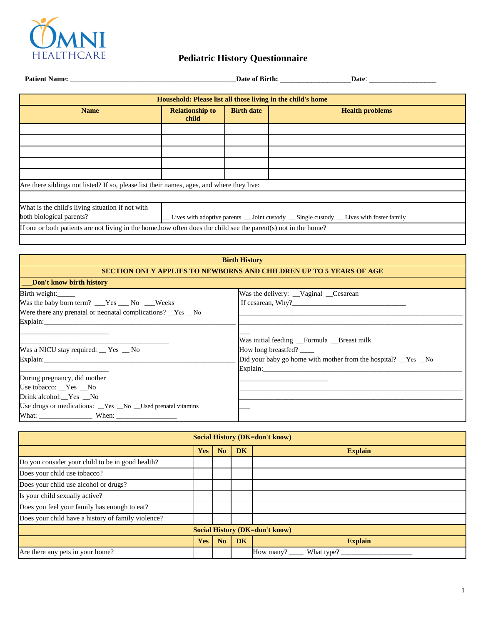

| Patient Name: Name:                                                                                             |                                                                                          |                   |                        |  |  |  |  |  |  |
|-----------------------------------------------------------------------------------------------------------------|------------------------------------------------------------------------------------------|-------------------|------------------------|--|--|--|--|--|--|
|                                                                                                                 | Household: Please list all those living in the child's home                              |                   |                        |  |  |  |  |  |  |
| <b>Name</b>                                                                                                     | <b>Relationship to</b><br>child                                                          | <b>Birth date</b> | <b>Health problems</b> |  |  |  |  |  |  |
|                                                                                                                 |                                                                                          |                   |                        |  |  |  |  |  |  |
|                                                                                                                 |                                                                                          |                   |                        |  |  |  |  |  |  |
|                                                                                                                 |                                                                                          |                   |                        |  |  |  |  |  |  |
|                                                                                                                 |                                                                                          |                   |                        |  |  |  |  |  |  |
|                                                                                                                 |                                                                                          |                   |                        |  |  |  |  |  |  |
| Are there siblings not listed? If so, please list their names, ages, and where they live:                       |                                                                                          |                   |                        |  |  |  |  |  |  |
|                                                                                                                 |                                                                                          |                   |                        |  |  |  |  |  |  |
| What is the child's living situation if not with<br>both biological parents?                                    | _Lives with adoptive parents _ Joint custody _ Single custody _ Lives with foster family |                   |                        |  |  |  |  |  |  |
| If one or both patients are not living in the home, how often does the child see the parent(s) not in the home? |                                                                                          |                   |                        |  |  |  |  |  |  |

### **Birth History SECTION ONLY APPLIES TO NEWBORNS AND CHILDREN UP TO 5 YEARS OF AGE**

| Don't know birth history                                                     |                                                             |
|------------------------------------------------------------------------------|-------------------------------------------------------------|
| Birth weight:                                                                | Was the delivery: Vaginal Cesarean                          |
| Was the baby born term? ___Yes ___ No ___Weeks                               | If cesarean, Why?                                           |
| Were there any prenatal or neonatal complications? $\_\text{Yes}\_\text{No}$ |                                                             |
| Explain:                                                                     |                                                             |
|                                                                              |                                                             |
|                                                                              | Was initial feeding Formula Breast milk                     |
| Was a NICU stay required: $\_\ Y$ es $\_\$ No                                | How long breastfed?                                         |
|                                                                              | Did your baby go home with mother from the hospital? Yes No |
|                                                                              | Explain:                                                    |
| During pregnancy, did mother                                                 |                                                             |
| Use tobacco: Yes No                                                          |                                                             |
| Drink alcohol: Yes No                                                        |                                                             |
| Use drugs or medications: _Yes _No _Used prenatal vitamins                   |                                                             |
|                                                                              |                                                             |

| <b>Social History (DK=don't know)</b>                       |  |  |  |                                  |  |  |  |  |
|-------------------------------------------------------------|--|--|--|----------------------------------|--|--|--|--|
| <b>DK</b><br>N <sub>o</sub><br><b>Explain</b><br><b>Yes</b> |  |  |  |                                  |  |  |  |  |
| Do you consider your child to be in good health?            |  |  |  |                                  |  |  |  |  |
| Does your child use tobacco?                                |  |  |  |                                  |  |  |  |  |
| Does your child use alcohol or drugs?                       |  |  |  |                                  |  |  |  |  |
| Is your child sexually active?                              |  |  |  |                                  |  |  |  |  |
| Does you feel your family has enough to eat?                |  |  |  |                                  |  |  |  |  |
| Does your child have a history of family violence?          |  |  |  |                                  |  |  |  |  |
| <b>Social History (DK=don't know)</b>                       |  |  |  |                                  |  |  |  |  |
| N <sub>o</sub><br><b>DK</b><br><b>Yes</b><br><b>Explain</b> |  |  |  |                                  |  |  |  |  |
| Are there any pets in your home?                            |  |  |  | How many? $\qquad$<br>What type? |  |  |  |  |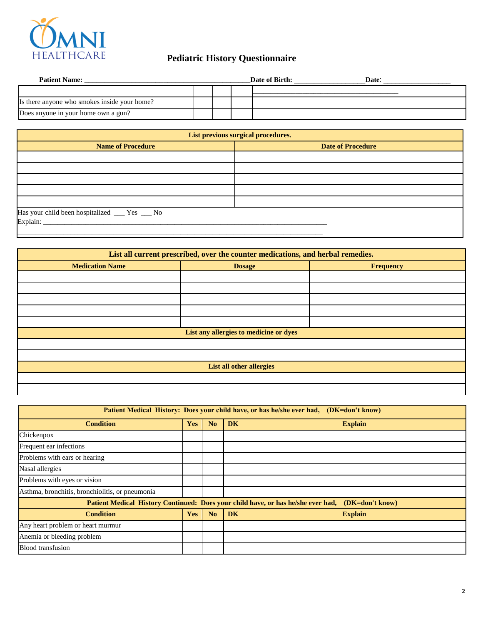

| <b>Patient Name:</b>                         |  | Date of Birth: | Date: |
|----------------------------------------------|--|----------------|-------|
|                                              |  |                |       |
| Is there anyone who smokes inside your home? |  |                |       |
| Does anyone in your home own a gun?          |  |                |       |

| List previous surgical procedures.                   |  |  |  |  |  |  |  |
|------------------------------------------------------|--|--|--|--|--|--|--|
| <b>Name of Procedure</b><br><b>Date of Procedure</b> |  |  |  |  |  |  |  |
|                                                      |  |  |  |  |  |  |  |
|                                                      |  |  |  |  |  |  |  |
|                                                      |  |  |  |  |  |  |  |
|                                                      |  |  |  |  |  |  |  |
|                                                      |  |  |  |  |  |  |  |
| Has your child been hospitalized ___ Yes __ No       |  |  |  |  |  |  |  |

| List all current prescribed, over the counter medications, and herbal remedies. |               |           |  |  |  |  |  |  |  |
|---------------------------------------------------------------------------------|---------------|-----------|--|--|--|--|--|--|--|
| <b>Medication Name</b>                                                          | <b>Dosage</b> | Frequency |  |  |  |  |  |  |  |
|                                                                                 |               |           |  |  |  |  |  |  |  |
|                                                                                 |               |           |  |  |  |  |  |  |  |
|                                                                                 |               |           |  |  |  |  |  |  |  |
|                                                                                 |               |           |  |  |  |  |  |  |  |
|                                                                                 |               |           |  |  |  |  |  |  |  |
| List any allergies to medicine or dyes                                          |               |           |  |  |  |  |  |  |  |
|                                                                                 |               |           |  |  |  |  |  |  |  |
|                                                                                 |               |           |  |  |  |  |  |  |  |
| <b>List all other allergies</b>                                                 |               |           |  |  |  |  |  |  |  |
|                                                                                 |               |           |  |  |  |  |  |  |  |
|                                                                                 |               |           |  |  |  |  |  |  |  |

| <b>Patient Medical History: Does your child have, or has he/she ever had,</b><br>(DK=don't know) |            |                |           |                                                                                                  |  |  |  |  |
|--------------------------------------------------------------------------------------------------|------------|----------------|-----------|--------------------------------------------------------------------------------------------------|--|--|--|--|
| <b>Condition</b>                                                                                 | <b>Yes</b> | N <sub>0</sub> | <b>DK</b> | <b>Explain</b>                                                                                   |  |  |  |  |
| Chickenpox                                                                                       |            |                |           |                                                                                                  |  |  |  |  |
| Frequent ear infections                                                                          |            |                |           |                                                                                                  |  |  |  |  |
| Problems with ears or hearing                                                                    |            |                |           |                                                                                                  |  |  |  |  |
| Nasal allergies                                                                                  |            |                |           |                                                                                                  |  |  |  |  |
| Problems with eyes or vision                                                                     |            |                |           |                                                                                                  |  |  |  |  |
| Asthma, bronchitis, bronchiolitis, or pneumonia                                                  |            |                |           |                                                                                                  |  |  |  |  |
|                                                                                                  |            |                |           | Patient Medical History Continued: Does your child have, or has he/she ever had, (DK=don't know) |  |  |  |  |
| <b>Condition</b>                                                                                 | <b>Yes</b> | N <sub>o</sub> | <b>DK</b> | <b>Explain</b>                                                                                   |  |  |  |  |
| Any heart problem or heart murmur                                                                |            |                |           |                                                                                                  |  |  |  |  |
| Anemia or bleeding problem                                                                       |            |                |           |                                                                                                  |  |  |  |  |
| <b>Blood</b> transfusion                                                                         |            |                |           |                                                                                                  |  |  |  |  |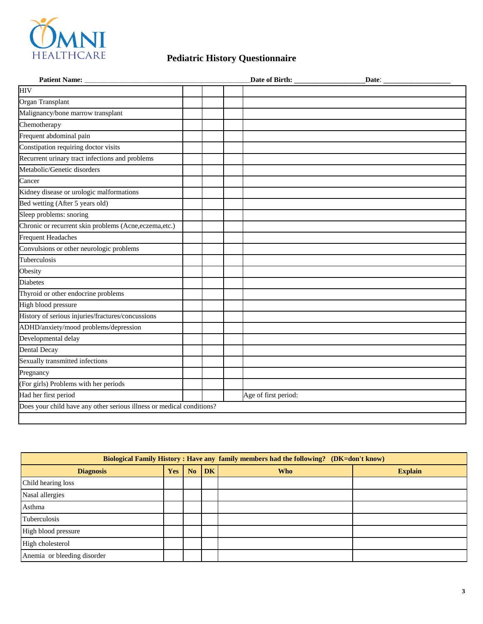

|                                                                       |                      | $\mathbf{\_}$ Date: $\mathbf{\_}$ |
|-----------------------------------------------------------------------|----------------------|-----------------------------------|
| <b>HIV</b>                                                            |                      |                                   |
| Organ Transplant                                                      |                      |                                   |
| Malignancy/bone marrow transplant                                     |                      |                                   |
| Chemotherapy                                                          |                      |                                   |
| Frequent abdominal pain                                               |                      |                                   |
| Constipation requiring doctor visits                                  |                      |                                   |
| Recurrent urinary tract infections and problems                       |                      |                                   |
| Metabolic/Genetic disorders                                           |                      |                                   |
| Cancer                                                                |                      |                                   |
| Kidney disease or urologic malformations                              |                      |                                   |
| Bed wetting (After 5 years old)                                       |                      |                                   |
| Sleep problems: snoring                                               |                      |                                   |
| Chronic or recurrent skin problems (Acne, eczema, etc.)               |                      |                                   |
| <b>Frequent Headaches</b>                                             |                      |                                   |
| Convulsions or other neurologic problems                              |                      |                                   |
| Tuberculosis                                                          |                      |                                   |
| Obesity                                                               |                      |                                   |
| <b>Diabetes</b>                                                       |                      |                                   |
| Thyroid or other endocrine problems                                   |                      |                                   |
| High blood pressure                                                   |                      |                                   |
| History of serious injuries/fractures/concussions                     |                      |                                   |
| ADHD/anxiety/mood problems/depression                                 |                      |                                   |
| Developmental delay                                                   |                      |                                   |
| <b>Dental Decay</b>                                                   |                      |                                   |
| Sexually transmitted infections                                       |                      |                                   |
| Pregnancy                                                             |                      |                                   |
| (For girls) Problems with her periods                                 |                      |                                   |
| Had her first period                                                  | Age of first period: |                                   |
| Does your child have any other serious illness or medical conditions? |                      |                                   |

| <b>Biological Family History: Have any family members had the following?</b> (DK=don't know) |            |                |    |            |                |  |  |
|----------------------------------------------------------------------------------------------|------------|----------------|----|------------|----------------|--|--|
| <b>Diagnosis</b>                                                                             | <b>Yes</b> | N <sub>o</sub> | DK | <b>Who</b> | <b>Explain</b> |  |  |
| Child hearing loss                                                                           |            |                |    |            |                |  |  |
| Nasal allergies                                                                              |            |                |    |            |                |  |  |
| Asthma                                                                                       |            |                |    |            |                |  |  |
| Tuberculosis                                                                                 |            |                |    |            |                |  |  |
| High blood pressure                                                                          |            |                |    |            |                |  |  |
| High cholesterol                                                                             |            |                |    |            |                |  |  |
| Anemia or bleeding disorder                                                                  |            |                |    |            |                |  |  |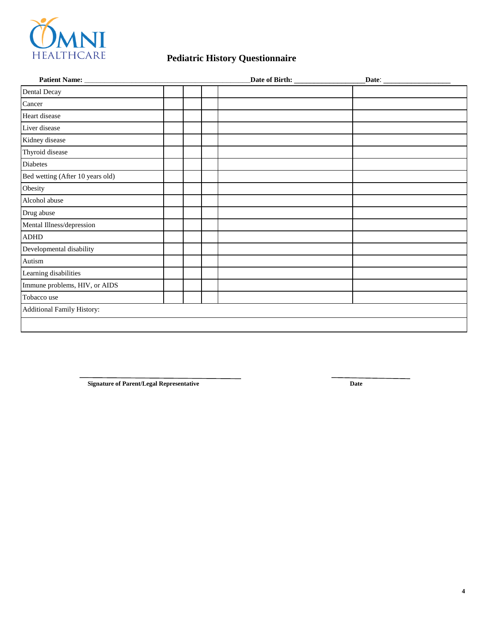

|                                   |  |  | Date: $\qquad \qquad$ |  |  |
|-----------------------------------|--|--|-----------------------|--|--|
| <b>Dental Decay</b>               |  |  |                       |  |  |
| Cancer                            |  |  |                       |  |  |
| Heart disease                     |  |  |                       |  |  |
| Liver disease                     |  |  |                       |  |  |
| Kidney disease                    |  |  |                       |  |  |
| Thyroid disease                   |  |  |                       |  |  |
| <b>Diabetes</b>                   |  |  |                       |  |  |
| Bed wetting (After 10 years old)  |  |  |                       |  |  |
| Obesity                           |  |  |                       |  |  |
| Alcohol abuse                     |  |  |                       |  |  |
| Drug abuse                        |  |  |                       |  |  |
| Mental Illness/depression         |  |  |                       |  |  |
| <b>ADHD</b>                       |  |  |                       |  |  |
| Developmental disability          |  |  |                       |  |  |
| Autism                            |  |  |                       |  |  |
| Learning disabilities             |  |  |                       |  |  |
| Immune problems, HIV, or AIDS     |  |  |                       |  |  |
| Tobacco use                       |  |  |                       |  |  |
| <b>Additional Family History:</b> |  |  |                       |  |  |
|                                   |  |  |                       |  |  |

**Signature of Parent/Legal Representative Date**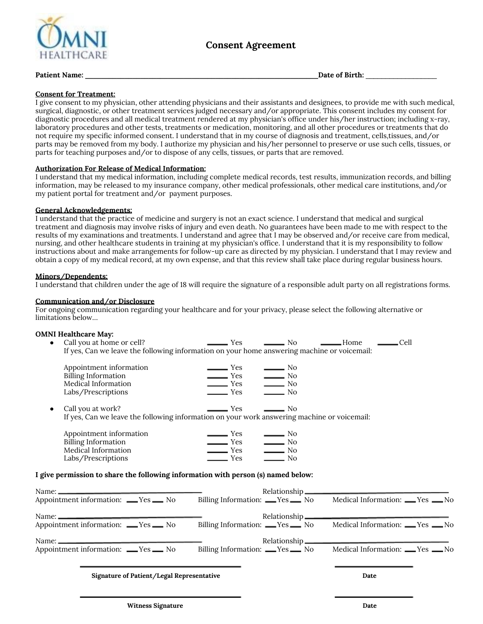

### **Patient Name: \_\_\_\_\_\_\_\_\_\_\_\_\_\_\_\_\_\_\_\_\_\_\_\_\_\_\_\_\_\_\_\_\_\_\_\_\_\_\_\_\_\_\_\_\_\_\_\_\_\_\_\_\_\_\_\_\_\_\_Date of Birth:** \_\_\_\_\_\_\_\_\_\_\_\_\_\_\_\_\_\_

#### **Consent for Treatment:**

I give consent to my physician, other attending physicians and their assistants and designees, to provide me with such medical, surgical, diagnostic, or other treatment services judged necessary and/or appropriate. This consent includes my consent for diagnostic procedures and all medical treatment rendered at my physician's office under his/her instruction; including x-ray, laboratory procedures and other tests, treatments or medication, monitoring, and all other procedures or treatments that do not require my specific informed consent. I understand that in my course of diagnosis and treatment, cells,tissues, and/or parts may be removed from my body. I authorize my physician and his/her personnel to preserve or use such cells, tissues, or parts for teaching purposes and/or to dispose of any cells, tissues, or parts that are removed.

#### **Authorization For Release of Medical Information:**

I understand that my medical information, including complete medical records, test results, immunization records, and billing information, may be released to my insurance company, other medical professionals, other medical care institutions, and/or my patient portal for treatment and/or payment purposes.

#### **General Acknowledgements:**

I understand that the practice of medicine and surgery is not an exact science. I understand that medical and surgical treatment and diagnosis may involve risks of injury and even death. No guarantees have been made to me with respect to the results of my examinations and treatments. I understand and agree that I may be observed and/or receive care from medical, nursing, and other healthcare students in training at my physician's office. I understand that it is my responsibility to follow instructions about and make arrangements for follow-up care as directed by my physician. I understand that I may review and obtain a copy of my medical record, at my own expense, and that this review shall take place during regular business hours.

#### **Minors/Dependents:**

I understand that children under the age of 18 will require the signature of a responsible adult party on all registrations forms.

#### **Communication and/or Disclosure**

For ongoing communication regarding your healthcare and for your privacy, please select the following alternative or limitations below…

#### **OMNI Healthcare May:**

| $\bullet$ | Call you at home or cell?<br>If yes, Can we leave the following information on your home answering machine or voicemail: | <b>Yes</b>               | $\overline{\phantom{0}}$ No | - Home | Cell |  |
|-----------|--------------------------------------------------------------------------------------------------------------------------|--------------------------|-----------------------------|--------|------|--|
|           | Appointment information                                                                                                  | $\equiv$ Yes             | $\rule{1em}{0.15mm}$ No     |        |      |  |
|           | <b>Billing Information</b>                                                                                               | $\rule{1em}{0.15mm}$ Yes | $\equiv$ No                 |        |      |  |
|           | Medical Information                                                                                                      | $\equiv$ Yes             | $\frac{1}{100}$ No          |        |      |  |
|           | Labs/Prescriptions                                                                                                       | Yes                      | $\rule{1em}{0.15mm}$ No     |        |      |  |
| $\bullet$ | Call you at work?                                                                                                        | <b>Yes</b>               | No.                         |        |      |  |
|           | If yes, Can we leave the following information on your work answering machine or voicemail:                              |                          |                             |        |      |  |
|           | Appointment information                                                                                                  | Yes                      | —— No                       |        |      |  |
|           | <b>Billing Information</b>                                                                                               | ─ Yes                    | $\equiv$ No                 |        |      |  |
|           | Medical Information                                                                                                      | Yes                      | No                          |        |      |  |

#### **I give permission to share the following information with person (s) named below:**

Labs/Prescriptions Yes No

| Name: $\frac{1}{2}$                    |                                      |                                     |
|----------------------------------------|--------------------------------------|-------------------------------------|
| Appointment information: ___Yes ___ No | Billing Information: ___Yes _____ No | Medical Information: ___ Yes ___ No |
|                                        |                                      |                                     |
| Appointment information: ___Yes ___ No | Billing Information: ___Yes _____ No | Medical Information: ___ Yes ___ No |
|                                        |                                      |                                     |
| Appointment information: ___Yes ___ No | Billing Information: ___Yes _____ No | Medical Information: ___ Yes ___ No |
|                                        |                                      |                                     |

#### **Signature of Patient/Legal Representative Date**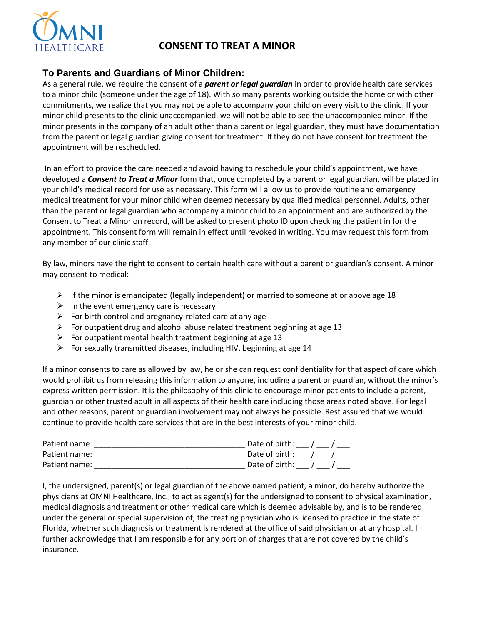

# **CONSENT TO TREAT A MINOR**

## **To Parents and Guardians of Minor Children:**

As a general rule, we require the consent of a *parent or legal guardian* in order to provide health care services to a minor child (someone under the age of 18). With so many parents working outside the home or with other commitments, we realize that you may not be able to accompany your child on every visit to the clinic. If your minor child presents to the clinic unaccompanied, we will not be able to see the unaccompanied minor. If the minor presents in the company of an adult other than a parent or legal guardian, they must have documentation from the parent or legal guardian giving consent for treatment. If they do not have consent for treatment the appointment will be rescheduled.

In an effort to provide the care needed and avoid having to reschedule your child's appointment, we have developed a *Consent to Treat a Minor* form that, once completed by a parent or legal guardian, will be placed in your child's medical record for use as necessary. This form will allow us to provide routine and emergency medical treatment for your minor child when deemed necessary by qualified medical personnel. Adults, other than the parent or legal guardian who accompany a minor child to an appointment and are authorized by the Consent to Treat a Minor on record, will be asked to present photo ID upon checking the patient in for the appointment. This consent form will remain in effect until revoked in writing. You may request this form from any member of our clinic staff.

By law, minors have the right to consent to certain health care without a parent or guardian's consent. A minor may consent to medical:

- $\triangleright$  If the minor is emancipated (legally independent) or married to someone at or above age 18
- $\triangleright$  In the event emergency care is necessary
- $\triangleright$  For birth control and pregnancy-related care at any age
- $\triangleright$  For outpatient drug and alcohol abuse related treatment beginning at age 13
- $\triangleright$  For outpatient mental health treatment beginning at age 13
- $\triangleright$  For sexually transmitted diseases, including HIV, beginning at age 14

If a minor consents to care as allowed by law, he or she can request confidentiality for that aspect of care which would prohibit us from releasing this information to anyone, including a parent or guardian, without the minor's express written permission. It is the philosophy of this clinic to encourage minor patients to include a parent, guardian or other trusted adult in all aspects of their health care including those areas noted above. For legal and other reasons, parent or guardian involvement may not always be possible. Rest assured that we would continue to provide health care services that are in the best interests of your minor child.

| Patient name: | Date of birth:            |
|---------------|---------------------------|
| Patient name: | Date of birth: $\sqrt{ }$ |
| Patient name: | Date of birth:            |

I, the undersigned, parent(s) or legal guardian of the above named patient, a minor, do hereby authorize the physicians at OMNI Healthcare, Inc., to act as agent(s) for the undersigned to consent to physical examination, medical diagnosis and treatment or other medical care which is deemed advisable by, and is to be rendered under the general or special supervision of, the treating physician who is licensed to practice in the state of Florida, whether such diagnosis or treatment is rendered at the office of said physician or at any hospital. I further acknowledge that I am responsible for any portion of charges that are not covered by the child's insurance.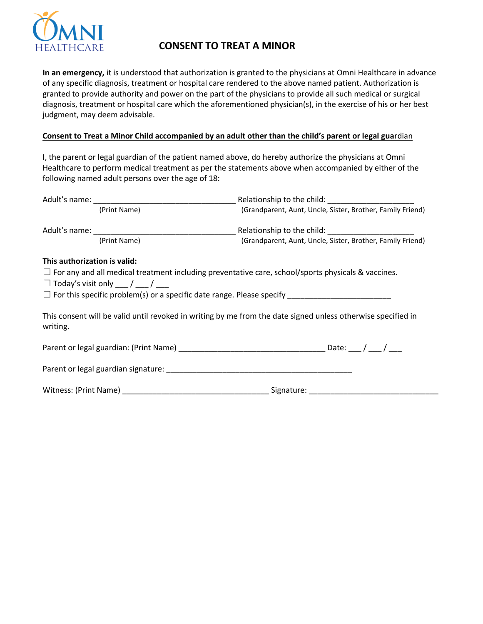

# **CONSENT TO TREAT A MINOR**

**In an emergency,** it is understood that authorization is granted to the physicians at Omni Healthcare in advance of any specific diagnosis, treatment or hospital care rendered to the above named patient. Authorization is granted to provide authority and power on the part of the physicians to provide all such medical or surgical diagnosis, treatment or hospital care which the aforementioned physician(s), in the exercise of his or her best judgment, may deem advisable.

### **Consent to Treat a Minor Child accompanied by an adult other than the child's parent or legal gua**rdian

I, the parent or legal guardian of the patient named above, do hereby authorize the physicians at Omni Healthcare to perform medical treatment as per the statements above when accompanied by either of the following named adult persons over the age of 18:

|                              | (Print Name)                              | (Grandparent, Aunt, Uncle, Sister, Brother, Family Friend)                                                   |  |  |  |
|------------------------------|-------------------------------------------|--------------------------------------------------------------------------------------------------------------|--|--|--|
|                              |                                           |                                                                                                              |  |  |  |
|                              | (Print Name)                              | (Grandparent, Aunt, Uncle, Sister, Brother, Family Friend)                                                   |  |  |  |
| This authorization is valid: |                                           |                                                                                                              |  |  |  |
|                              |                                           | $\Box$ For any and all medical treatment including preventative care, school/sports physicals & vaccines.    |  |  |  |
|                              | $\Box$ Today's visit only ___ / ___ / ___ |                                                                                                              |  |  |  |
|                              |                                           |                                                                                                              |  |  |  |
| writing.                     |                                           | This consent will be valid until revoked in writing by me from the date signed unless otherwise specified in |  |  |  |
|                              |                                           |                                                                                                              |  |  |  |
|                              |                                           |                                                                                                              |  |  |  |
|                              |                                           |                                                                                                              |  |  |  |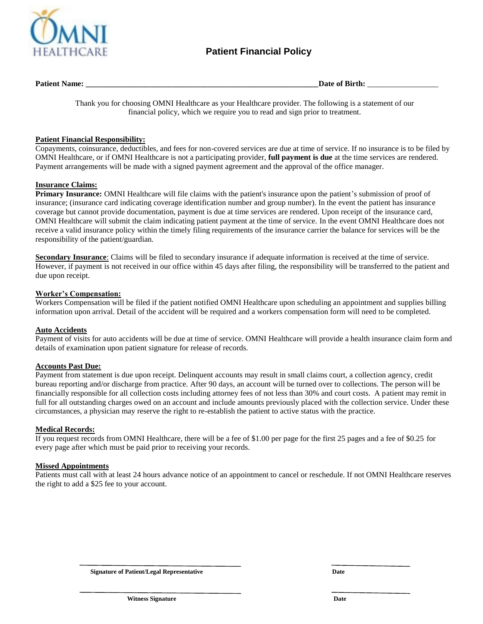

**Patient Name: \_\_\_\_\_\_\_\_\_\_\_\_\_\_\_\_\_\_\_\_\_\_\_\_\_\_\_\_\_\_\_\_\_\_\_\_\_\_\_\_\_\_\_\_\_\_\_\_\_\_\_\_\_\_\_\_\_\_\_Date of Birth:** \_\_\_\_\_\_\_\_\_\_\_\_\_\_\_\_\_\_

Thank you for choosing OMNI Healthcare as your Healthcare provider. The following is a statement of our financial policy, which we require you to read and sign prior to treatment.

#### **Patient Financial Responsibility:**

Copayments, coinsurance, deductibles, and fees for non-covered services are due at time of service. If no insurance is to be filed by OMNI Healthcare, or if OMNI Healthcare is not a participating provider, **full payment is due** at the time services are rendered. Payment arrangements will be made with a signed payment agreement and the approval of the office manager.

#### **Insurance Claims:**

**Primary Insurance:** OMNI Healthcare will file claims with the patient's insurance upon the patient's submission of proof of insurance; (insurance card indicating coverage identification number and group number). In the event the patient has insurance coverage but cannot provide documentation, payment is due at time services are rendered. Upon receipt of the insurance card, OMNI Healthcare will submit the claim indicating patient payment at the time of service. In the event OMNI Healthcare does not receive a valid insurance policy within the timely filing requirements of the insurance carrier the balance for services will be the responsibility of the patient/guardian.

**Secondary Insurance**: Claims will be filed to secondary insurance if adequate information is received at the time of service. However, if payment is not received in our office within 45 days after filing, the responsibility will be transferred to the patient and due upon receipt.

#### **Worker's Compensation:**

Workers Compensation will be filed if the patient notified OMNI Healthcare upon scheduling an appointment and supplies billing information upon arrival. Detail of the accident will be required and a workers compensation form will need to be completed.

#### **Auto Accidents**

Payment of visits for auto accidents will be due at time of service. OMNI Healthcare will provide a health insurance claim form and details of examination upon patient signature for release of records.

#### **Accounts Past Due:**

Payment from statement is due upon receipt. Delinquent accounts may result in small claims court, a collection agency, credit bureau reporting and/or discharge from practice. After 90 days, an account will be turned over to collections. The person will be financially responsible for all collection costs including attorney fees of not less than 30% and court costs. A patient may remit in full for all outstanding charges owed on an account and include amounts previously placed with the collection service. Under these circumstances, a physician may reserve the right to re-establish the patient to active status with the practice.

#### **Medical Records:**

If you request records from OMNI Healthcare, there will be a fee of \$1.00 per page for the first 25 pages and a fee of \$0.25 for every page after which must be paid prior to receiving your records.

#### **Missed Appointments**

Patients must call with at least 24 hours advance notice of an appointment to cancel or reschedule. If not OMNI Healthcare reserves the right to add a \$25 fee to your account.

**Signature of Patient/Legal Representative Date** Date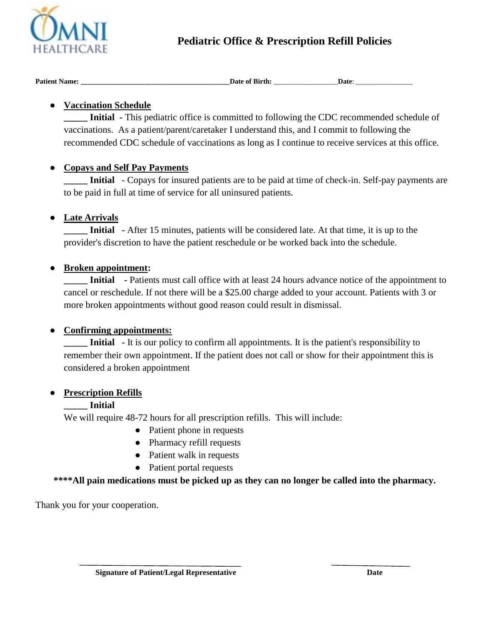

# **Pediatric Office & Prescription Refill Policies**

| <b>Patient Name:</b> | Date of Birth: |                   |
|----------------------|----------------|-------------------|
|                      | $\sim$         | Date <sup>.</sup> |

# ● **Vaccination Schedule**

**Initial -** This pediatric office is committed to following the CDC recommended schedule of vaccinations. As a patient/parent/caretaker I understand this, and I commit to following the recommended CDC schedule of vaccinations as long as I continue to receive services at this office.

## ● **Copays and Self Pay Payments**

**Initial** - Copays for insured patients are to be paid at time of check-in. Self-pay payments are to be paid in full at time of service for all uninsured patients.

# ● **Late Arrivals**

**Initial** - After 15 minutes, patients will be considered late. At that time, it is up to the provider's discretion to have the patient reschedule or be worked back into the schedule.

## ● **Broken appointment:**

**Initial** - Patients must call office with at least 24 hours advance notice of the appointment to cancel or reschedule. If not there will be a \$25.00 charge added to your account. Patients with 3 or more broken appointments without good reason could result in dismissal.

## ● **Confirming appointments:**

**Initial** - It is our policy to confirm all appointments. It is the patient's responsibility to remember their own appointment. If the patient does not call or show for their appointment this is considered a broken appointment

## ● **Prescription Refills**

## **\_\_\_\_\_ Initial**

We will require 48-72 hours for all prescription refills. This will include:

- Patient phone in requests
- Pharmacy refill requests
- Patient walk in requests
- Patient portal requests

**\*\*\*\*All pain medications must be picked up as they can no longer be called into the pharmacy.** 

Thank you for your cooperation.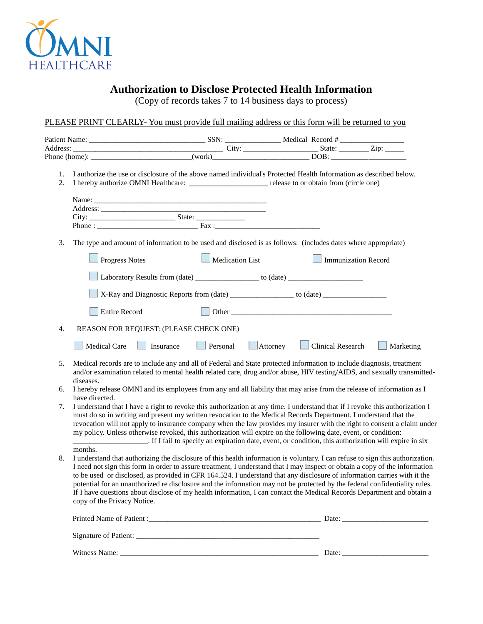

# **Authorization to Disclose Protected Health Information**

(Copy of records takes 7 to 14 business days to process)

PLEASE PRINT CLEARLY- You must provide full mailing address or this form will be returned to you

| Address: <u>City:</u> City: City: City: City: City: City: City: City: City: City: City: City: City: City: City: City: City: City: City: City: City: City: City: City: City: City: City: City: City: City: City: City: City: City: C |                                        |                                        |                        |                 |                                                                                                                 |                                                                                                                                                                                                                                                                                                                                                                                                                                                                                                                                                                                                                                                   |
|-------------------------------------------------------------------------------------------------------------------------------------------------------------------------------------------------------------------------------------|----------------------------------------|----------------------------------------|------------------------|-----------------|-----------------------------------------------------------------------------------------------------------------|---------------------------------------------------------------------------------------------------------------------------------------------------------------------------------------------------------------------------------------------------------------------------------------------------------------------------------------------------------------------------------------------------------------------------------------------------------------------------------------------------------------------------------------------------------------------------------------------------------------------------------------------------|
|                                                                                                                                                                                                                                     |                                        |                                        |                        |                 |                                                                                                                 |                                                                                                                                                                                                                                                                                                                                                                                                                                                                                                                                                                                                                                                   |
| 1.<br>2.                                                                                                                                                                                                                            |                                        |                                        |                        |                 |                                                                                                                 | I authorize the use or disclosure of the above named individual's Protected Health Information as described below.                                                                                                                                                                                                                                                                                                                                                                                                                                                                                                                                |
|                                                                                                                                                                                                                                     |                                        |                                        |                        |                 |                                                                                                                 |                                                                                                                                                                                                                                                                                                                                                                                                                                                                                                                                                                                                                                                   |
|                                                                                                                                                                                                                                     |                                        |                                        |                        |                 |                                                                                                                 |                                                                                                                                                                                                                                                                                                                                                                                                                                                                                                                                                                                                                                                   |
| 3.                                                                                                                                                                                                                                  |                                        |                                        |                        |                 | The type and amount of information to be used and disclosed is as follows: (includes dates where appropriate)   |                                                                                                                                                                                                                                                                                                                                                                                                                                                                                                                                                                                                                                                   |
|                                                                                                                                                                                                                                     | <b>Progress Notes</b>                  |                                        | $\Box$ Medication List |                 | Immunization Record                                                                                             |                                                                                                                                                                                                                                                                                                                                                                                                                                                                                                                                                                                                                                                   |
|                                                                                                                                                                                                                                     |                                        |                                        |                        |                 | Laboratory Results from (date) ___________________ to (date) ___________________                                |                                                                                                                                                                                                                                                                                                                                                                                                                                                                                                                                                                                                                                                   |
|                                                                                                                                                                                                                                     |                                        |                                        |                        |                 | X-Ray and Diagnostic Reports from (date) _________________ to (date) ____________                               |                                                                                                                                                                                                                                                                                                                                                                                                                                                                                                                                                                                                                                                   |
|                                                                                                                                                                                                                                     | <b>Entire Record</b>                   |                                        |                        |                 |                                                                                                                 |                                                                                                                                                                                                                                                                                                                                                                                                                                                                                                                                                                                                                                                   |
| 4.                                                                                                                                                                                                                                  |                                        | REASON FOR REQUEST: (PLEASE CHECK ONE) |                        |                 |                                                                                                                 |                                                                                                                                                                                                                                                                                                                                                                                                                                                                                                                                                                                                                                                   |
|                                                                                                                                                                                                                                     | Medical Care                           | Insurance                              | Personal               | $\Box$ Attorney | <b>Contract</b><br><b>Clinical Research</b>                                                                     | Marketing                                                                                                                                                                                                                                                                                                                                                                                                                                                                                                                                                                                                                                         |
| 5.                                                                                                                                                                                                                                  | diseases.                              |                                        |                        |                 |                                                                                                                 | Medical records are to include any and all of Federal and State protected information to include diagnosis, treatment<br>and/or examination related to mental health related care, drug and/or abuse, HIV testing/AIDS, and sexually transmitted-                                                                                                                                                                                                                                                                                                                                                                                                 |
| б.                                                                                                                                                                                                                                  |                                        |                                        |                        |                 |                                                                                                                 | I hereby release OMNI and its employees from any and all liability that may arise from the release of information as I                                                                                                                                                                                                                                                                                                                                                                                                                                                                                                                            |
|                                                                                                                                                                                                                                     | have directed.                         |                                        |                        |                 |                                                                                                                 |                                                                                                                                                                                                                                                                                                                                                                                                                                                                                                                                                                                                                                                   |
| 7.                                                                                                                                                                                                                                  |                                        |                                        |                        |                 |                                                                                                                 | I understand that I have a right to revoke this authorization at any time. I understand that if I revoke this authorization I<br>must do so in writing and present my written revocation to the Medical Records Department. I understand that the<br>revocation will not apply to insurance company when the law provides my insurer with the right to consent a claim under                                                                                                                                                                                                                                                                      |
|                                                                                                                                                                                                                                     |                                        |                                        |                        |                 | my policy. Unless otherwise revoked, this authorization will expire on the following date, event, or condition: |                                                                                                                                                                                                                                                                                                                                                                                                                                                                                                                                                                                                                                                   |
| 8.                                                                                                                                                                                                                                  | months.<br>copy of the Privacy Notice. |                                        |                        |                 |                                                                                                                 | I understand that authorizing the disclosure of this health information is voluntary. I can refuse to sign this authorization.<br>I need not sign this form in order to assure treatment, I understand that I may inspect or obtain a copy of the information<br>to be used or disclosed, as provided in CFR 164.524. I understand that any disclosure of information carries with it the<br>potential for an unauthorized re disclosure and the information may not be protected by the federal confidentiality rules.<br>If I have questions about disclose of my health information, I can contact the Medical Records Department and obtain a |
|                                                                                                                                                                                                                                     |                                        |                                        |                        |                 |                                                                                                                 |                                                                                                                                                                                                                                                                                                                                                                                                                                                                                                                                                                                                                                                   |
|                                                                                                                                                                                                                                     |                                        |                                        |                        |                 |                                                                                                                 |                                                                                                                                                                                                                                                                                                                                                                                                                                                                                                                                                                                                                                                   |
|                                                                                                                                                                                                                                     |                                        |                                        |                        |                 |                                                                                                                 |                                                                                                                                                                                                                                                                                                                                                                                                                                                                                                                                                                                                                                                   |

Witness Name: \_\_\_\_\_\_\_\_\_\_\_\_\_\_\_\_\_\_\_\_\_\_\_\_\_\_\_\_\_\_\_\_\_\_\_\_\_\_\_\_\_\_\_\_\_\_\_\_\_\_\_\_\_ Date: \_\_\_\_\_\_\_\_\_\_\_\_\_\_\_\_\_\_\_\_\_\_\_